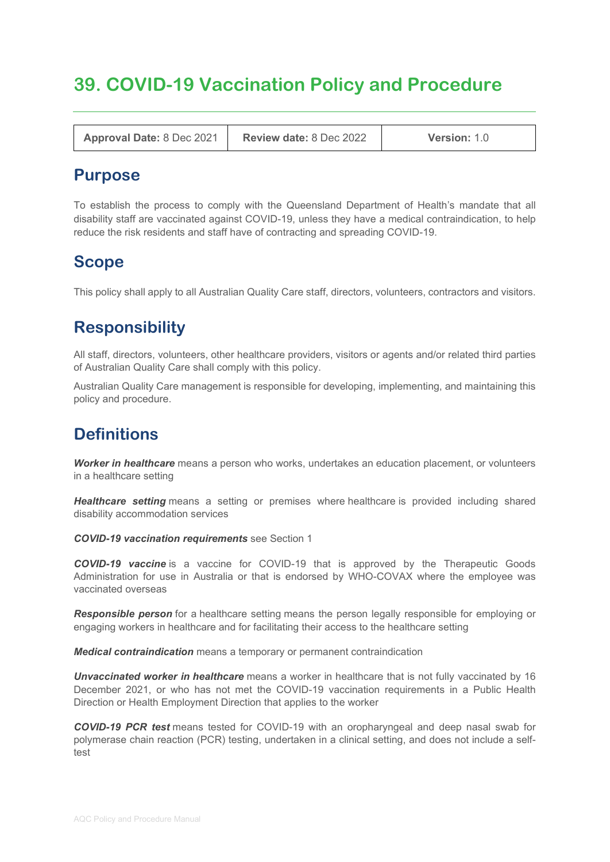# **39. COVID-19 Vaccination Policy and Procedure**

**Approval Date:** 8 Dec 2021 **Review date:** 8 Dec 2022 **Version:** 1.0

## **Purpose**

To establish the process to comply with the Queensland Department of Health's mandate that all disability staff are vaccinated against COVID-19, unless they have a medical contraindication, to help reduce the risk residents and staff have of contracting and spreading COVID-19.

# **Scope**

This policy shall apply to all Australian Quality Care staff, directors, volunteers, contractors and visitors.

# **Responsibility**

All staff, directors, volunteers, other healthcare providers, visitors or agents and/or related third parties of Australian Quality Care shall comply with this policy.

Australian Quality Care management is responsible for developing, implementing, and maintaining this policy and procedure.

# **Definitions**

*Worker in healthcare* means a person who works, undertakes an education placement, or volunteers in a healthcare setting

**Healthcare setting** means a setting or premises where healthcare is provided including shared disability accommodation services

*COVID-19 vaccination requirements* see Section 1

*COVID-19 vaccine* is a vaccine for COVID-19 that is approved by the Therapeutic Goods Administration for use in Australia or that is endorsed by WHO-COVAX where the employee was vaccinated overseas

*Responsible person* for a healthcare setting means the person legally responsible for employing or engaging workers in healthcare and for facilitating their access to the healthcare setting

*Medical contraindication* means a temporary or permanent contraindication

*Unvaccinated worker in healthcare* means a worker in healthcare that is not fully vaccinated by 16 December 2021, or who has not met the COVID-19 vaccination requirements in a Public Health Direction or Health Employment Direction that applies to the worker

*COVID-19 PCR test* means tested for COVID-19 with an oropharyngeal and deep nasal swab for polymerase chain reaction (PCR) testing, undertaken in a clinical setting, and does not include a selftest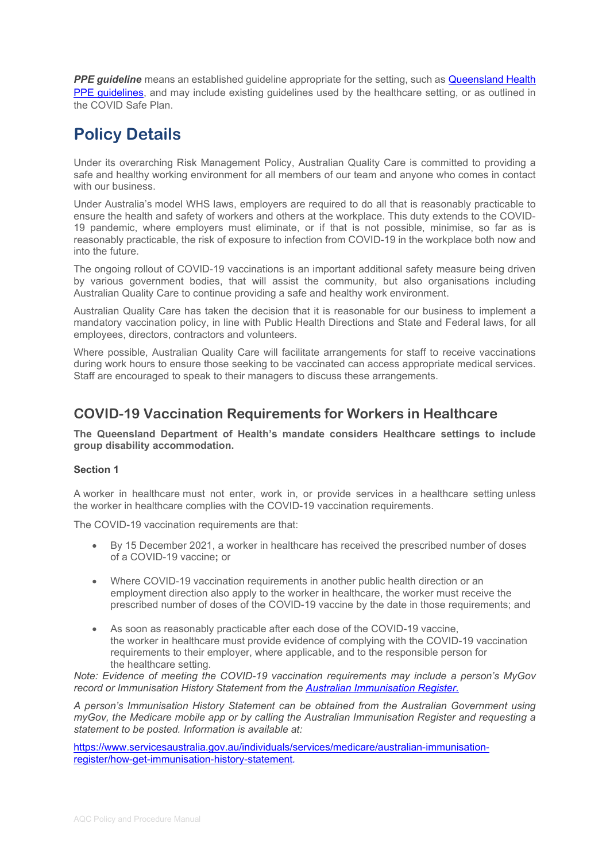**PPE guideline** means an established guideline appropriate for the setting, such as Queensland Health [PPE guidelines,](https://www.safeworkaustralia.gov.au/covid-19-information-workplaces) and may include existing guidelines used by the healthcare setting, or as outlined in the COVID Safe Plan.

# **Policy Details**

Under its overarching Risk Management Policy, Australian Quality Care is committed to providing a safe and healthy working environment for all members of our team and anyone who comes in contact with our business.

Under Australia's model WHS laws, employers are required to do all that is reasonably practicable to ensure the health and safety of workers and others at the workplace. This duty extends to the COVID-19 pandemic, where employers must eliminate, or if that is not possible, minimise, so far as is reasonably practicable, the risk of exposure to infection from COVID-19 in the workplace both now and into the future.

The ongoing rollout of COVID-19 vaccinations is an important additional safety measure being driven by various government bodies, that will assist the community, but also organisations including Australian Quality Care to continue providing a safe and healthy work environment.

Australian Quality Care has taken the decision that it is reasonable for our business to implement a mandatory vaccination policy, in line with Public Health Directions and State and Federal laws, for all employees, directors, contractors and volunteers.

Where possible, Australian Quality Care will facilitate arrangements for staff to receive vaccinations during work hours to ensure those seeking to be vaccinated can access appropriate medical services. Staff are encouraged to speak to their managers to discuss these arrangements.

### **COVID-19 Vaccination Requirements for Workers in Healthcare**

**The Queensland Department of Health's mandate considers Healthcare settings to include group disability accommodation.**

#### **Section 1**

A worker in healthcare must not enter, work in, or provide services in a healthcare setting unless the worker in healthcare complies with the COVID-19 vaccination requirements.

The COVID-19 vaccination requirements are that:

- By 15 December 2021, a worker in healthcare has received the prescribed number of doses of a COVID-19 vaccine**;** or
- Where COVID-19 vaccination requirements in another public health direction or an employment direction also apply to the worker in healthcare, the worker must receive the prescribed number of doses of the COVID-19 vaccine by the date in those requirements; and
- As soon as reasonably practicable after each dose of the COVID-19 vaccine, the worker in healthcare must provide evidence of complying with the COVID-19 vaccination requirements to their employer, where applicable, and to the responsible person for the healthcare setting.

*Note: Evidence of meeting the COVID-19 vaccination requirements may include a person's MyGov record or Immunisation History Statement from the [Australian Immunisation Register.](https://www.servicesaustralia.gov.au/individuals/services/medicare/australian-immunisation-register)*

*A person's Immunisation History Statement can be obtained from the Australian Government using myGov, the Medicare mobile app or by calling the Australian Immunisation Register and requesting a statement to be posted. Information is available at:*

[https://www.servicesaustralia.gov.au/individuals/services/medicare/australian-immunisation](https://www.servicesaustralia.gov.au/individuals/services/medicare/australian-immunisation-register/how-get-immunisation-history-statement)[register/how-get-immunisation-history-statement](https://www.servicesaustralia.gov.au/individuals/services/medicare/australian-immunisation-register/how-get-immunisation-history-statement)*.*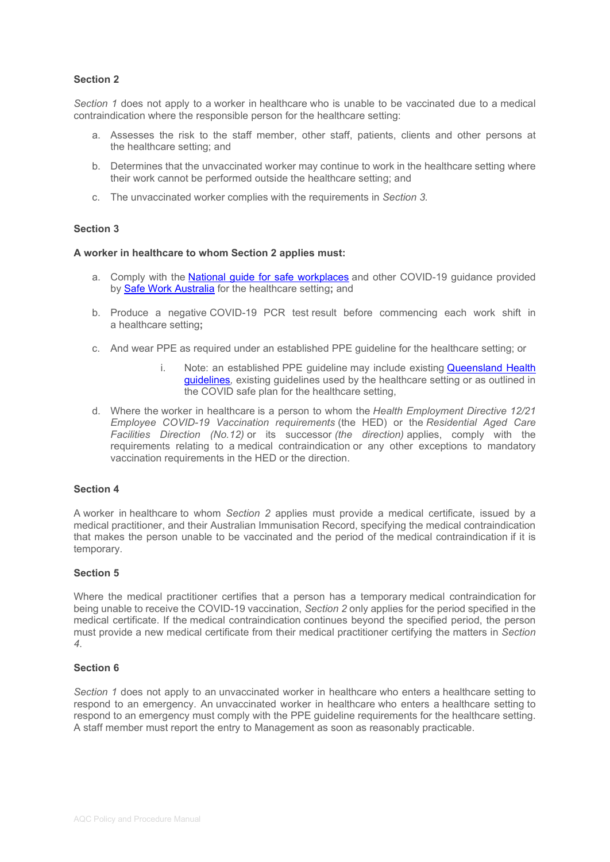#### **Section 2**

*Section 1* does not apply to a worker in healthcare who is unable to be vaccinated due to a medical contraindication where the responsible person for the healthcare setting:

- a. Assesses the risk to the staff member, other staff, patients, clients and other persons at the healthcare setting; and
- b. Determines that the unvaccinated worker may continue to work in the healthcare setting where their work cannot be performed outside the healthcare setting; and
- c. The unvaccinated worker complies with the requirements in *Section 3.*

#### **Section 3**

#### **A worker in healthcare to whom Section 2 applies must:**

- a. Comply with the [National guide for safe workplaces](https://www.safeworkaustralia.gov.au/sites/default/files/2020-10/National%20guide%20for%20safe%20workplaces%20%E2%80%93%20COVID-19_1.pdf) and other COVID-19 guidance provided by [Safe Work Australia](https://www.safeworkaustralia.gov.au/covid-19-information-workplaces) for the healthcare setting**;** and
- b. Produce a negative COVID-19 PCR test result before commencing each work shift in a healthcare setting**;**
- c. And wear PPE as required under an established PPE guideline for the healthcare setting; or
	- i. Note: an established PPE quideline may include existing Queensland Health [guidelines](https://www.health.qld.gov.au/clinical-practice/guidelines-procedures/novel-coronavirus-qld-clinicians/personal-protective-equipment-ppe)*,* existing guidelines used by the healthcare setting or as outlined in the COVID safe plan for the healthcare setting,
- d. Where the worker in healthcare is a person to whom the *Health Employment Directive 12/21 Employee COVID-19 Vaccination requirements* (the HED) or the *Residential Aged Care Facilities Direction (No.12)* or its successor *(the direction)* applies, comply with the requirements relating to a medical contraindication or any other exceptions to mandatory vaccination requirements in the HED or the direction.

#### **Section 4**

A worker in healthcare to whom *Section 2* applies must provide a medical certificate, issued by a medical practitioner, and their Australian Immunisation Record, specifying the medical contraindication that makes the person unable to be vaccinated and the period of the medical contraindication if it is temporary.

#### **Section 5**

Where the medical practitioner certifies that a person has a temporary medical contraindication for being unable to receive the COVID-19 vaccination, *Section 2* only applies for the period specified in the medical certificate. If the medical contraindication continues beyond the specified period, the person must provide a new medical certificate from their medical practitioner certifying the matters in *Section 4*.

#### **Section 6**

*Section 1* does not apply to an unvaccinated worker in healthcare who enters a healthcare setting to respond to an emergency. An unvaccinated worker in healthcare who enters a healthcare setting to respond to an emergency must comply with the PPE guideline requirements for the healthcare setting. A staff member must report the entry to Management as soon as reasonably practicable.